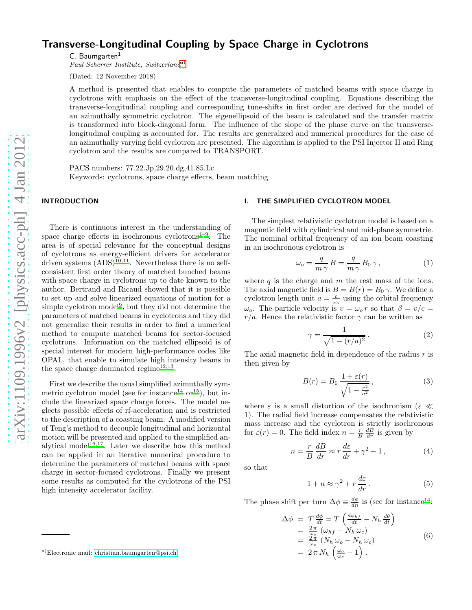# Transverse-Longitudinal Coupling by Space Charge in Cyclotrons

 $C.$  Baumgarten $<sup>1</sup>$ </sup>

Paul Scherrer Institute, Switzerland[a\)](#page-0-0)

(Dated: 12 November 2018)

A method is presented that enables to compute the parameters of matched beams with space charge in cyclotrons with emphasis on the effect of the transverse-longitudinal coupling. Equations describing the transverse-longitudinal coupling and corresponding tune-shifts in first order are derived for the model of an azimuthally symmetric cyclotron. The eigenellipsoid of the beam is calculated and the transfer matrix is transformed into block-diagonal form. The influence of the slope of the phase curve on the transverselongitudinal coupling is accounted for. The results are generalized and numerical procedures for the case of an azimuthally varying field cyclotron are presented. The algorithm is applied to the PSI Injector II and Ring cyclotron and the results are compared to TRANSPORT.

PACS numbers: 77.22.Jp,29.20.dg,41.85.Lc Keywords: cyclotrons, space charge effects, beam matching

# INTRODUCTION

There is continuous interest in the understanding of space charge effects in isochronous cyclotrons<sup>[1](#page-7-0)[–9](#page-7-1)</sup>. The area is of special relevance for the conceptual designs of cyclotrons as energy-efficient drivers for accelerator driven systems  $(ADS)^{10,11}$  $(ADS)^{10,11}$  $(ADS)^{10,11}$  $(ADS)^{10,11}$ . Nevertheless there is no selfconsistent first order theory of matched bunched beams with space charge in cyclotrons up to date known to the author. Bertrand and Ricaud showed that it is possible to set up and solve linearized equations of motion for a simple cyclotron model<sup>[9](#page-7-1)</sup>, but they did not determine the parameters of matched beams in cyclotrons and they did not generalize their results in order to find a numerical method to compute matched beams for sector-focused cyclotrons. Information on the matched ellipsoid is of special interest for modern high-performance codes like OPAL, that enable to simulate high intensity beams in the space charge dominated regime<sup>[12](#page-7-4)[,13](#page-7-5)</sup>.

First we describe the usual simplified azimuthally sym-metric cyclotron model (see for instance<sup>[14](#page-7-6)</sup> or<sup>[15](#page-7-7)</sup>), but include the linearized space charge forces. The model neglects possible effects of rf-acceleration and is restricted to the description of a coasting beam. A modified version of Teng's method to decouple longitudinal and horizontal motion will be presented and applied to the simplified an-alytical model<sup>[16](#page-7-8)[,17](#page-7-9)</sup>. Later we describe how this method can be applied in an iterative numerical procedure to determine the parameters of matched beams with space charge in sector-focused cyclotrons. Finally we present some results as computed for the cyclotrons of the PSI high intensity accelerator facility.

#### I. THE SIMPLIFIED CYCLOTRON MODEL

The simplest relativistic cyclotron model is based on a magnetic field with cylindrical and mid-plane symmetrie. The nominal orbital frequency of an ion beam coasting in an isochronous cyclotron is

$$
\omega_o = \frac{q}{m\gamma} B = \frac{q}{m\gamma} B_0 \gamma, \qquad (1)
$$

where  $q$  is the charge and  $m$  the rest mass of the ions. The axial magnetic field is  $B = B(r) = B_0 \gamma$ . We define a cyclotron length unit  $a = \frac{c}{\omega_o}$  using the orbital frequency  $\omega_o$ . The particle velocity is  $v = \omega_o r$  so that  $\beta = v/c =$  $r/a$ . Hence the relativistic factor  $\gamma$  can be written as

$$
\gamma = \frac{1}{\sqrt{1 - (r/a)^2}}.
$$
\n(2)

The axial magnetic field in dependence of the radius  $r$  is then given by

$$
B(r) = B_0 \frac{1 + \varepsilon(r)}{\sqrt{1 - \frac{r^2}{a^2}}},
$$
\n(3)

where  $\varepsilon$  is a small distortion of the isochronism ( $\varepsilon \ll$ 1). The radial field increase compensates the relativistic mass increase and the cyclotron is strictly isochronous for  $\varepsilon(r) = 0$ . The field index  $n = \frac{r}{B} \frac{dB}{dr}$  is given by

$$
n = \frac{r}{B} \frac{dB}{dr} \approx r \frac{d\varepsilon}{dr} + \gamma^2 - 1, \qquad (4)
$$

so that

$$
1 + n \approx \gamma^2 + r \frac{d\varepsilon}{dr}.
$$
 (5)

The phase shift per turn  $\Delta \phi \equiv \frac{d\phi}{dn}$  is (see for instance<sup>[14](#page-7-6)</sup>:

$$
\begin{array}{rcl}\n\Delta \phi & = & T \frac{d\phi}{dt} = T \left( \frac{d\phi_{hf}}{dt} - N_h \frac{d\theta}{dt} \right) \\
& = & \frac{2\pi}{\omega_c} \left( \omega_{hf} - N_h \omega_c \right) \\
& = & \frac{2\pi}{\omega_c} \left( N_h \omega_o - N_h \omega_c \right) \\
& = & 2\pi N_h \left( \frac{\omega_o}{\omega_c} - 1 \right),\n\end{array} \tag{6}
$$

<span id="page-0-0"></span>a)Electronic mail: [christian.baumgarten@psi.ch](mailto:christian.baumgarten@psi.ch)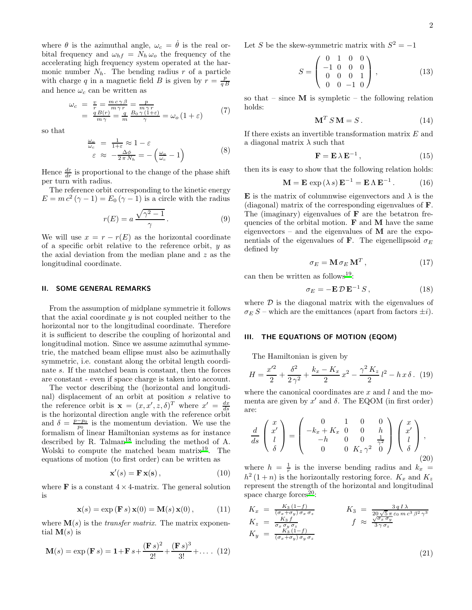where  $\theta$  is the azimuthal angle,  $\omega_c = \dot{\theta}$  is the real orbital frequency and  $\omega_{hf} = N_h \omega_o$  the frequency of the accelerating high frequency system operated at the harmonic number  $N_h$ . The bending radius r of a particle with charge q in a magnetic field B is given by  $r = \frac{p}{qB}$ and hence  $\omega_c$  can be written as

$$
\begin{array}{rcl}\n\omega_c &=& \frac{v}{r} = \frac{mc\,\gamma\,\beta}{m\,\gamma\,r} = \frac{p}{m\,\gamma\,r} \\
&=& \frac{q\,B(r)}{m\,\gamma} = \frac{q}{m} \frac{B_0\,\gamma\,(1+\varepsilon)}{\gamma} = \omega_o\,(1+\varepsilon)\n\end{array} \tag{7}
$$

so that

$$
\frac{\omega_o}{\omega_c} = \frac{1}{1+\varepsilon} \approx 1 - \varepsilon
$$
  

$$
\varepsilon \approx -\frac{\Delta\phi}{2\pi N_h} = -\left(\frac{\omega_o}{\omega_c} - 1\right)
$$
 (8)

Hence  $\frac{d\varepsilon}{dr}$  is proportional to the change of the phase shift per turn with radius.

The reference orbit corresponding to the kinetic energy  $E = mc^2 (\gamma - 1) = E_0 (\gamma - 1)$  is a circle with the radius

$$
r(E) = a \frac{\sqrt{\gamma^2 - 1}}{\gamma}.
$$
 (9)

We will use  $x = r - r(E)$  as the horizontal coordinate of a specific orbit relative to the reference orbit,  $y$  as the axial deviation from the median plane and  $z$  as the longitudinal coordinate.

#### II. SOME GENERAL REMARKS

From the assumption of midplane symmetrie it follows that the axial coordinate  $y$  is not coupled neither to the horizontal nor to the longitudinal coordinate. Therefore it is sufficient to describe the coupling of horizontal and longitudinal motion. Since we assume azimuthal symmetrie, the matched beam ellipse must also be azimuthally symmetric, i.e. constant along the orbital length coordinate s. If the matched beam is constant, then the forces are constant - even if space charge is taken into account.

The vector describing the (horizontal and longitudinal) displacement of an orbit at position s relative to the reference orbit is  $\mathbf{x} = (x, x', z, \delta)^T$  where  $x' = \frac{dx}{ds}$ is the horizontal direction angle with the reference orbit and  $\delta = \frac{p-p_0}{p_0}$  is the momentum deviation. We use the formalism of linear Hamiltonian systems as for instance described by R. Talman<sup>[18](#page-7-10)</sup> including the method of A. Wolski to compute the matched beam matrix<sup>[19](#page-7-11)</sup>. The equations of motion (to first order) can be written as

$$
\mathbf{x}'(s) = \mathbf{F}\,\mathbf{x}(\mathbf{s})\,,\tag{10}
$$

where  $\bf{F}$  is a constant  $4 \times 4$ -matrix. The general solution is

$$
\mathbf{x}(s) = \exp\left(\mathbf{F}\,s\right)\mathbf{x}(0) = \mathbf{M}(s)\,\mathbf{x}(0)\,,\tag{11}
$$

where  $\mathbf{M}(s)$  is the *transfer matrix*. The matrix exponential  $\mathbf{M}(s)$  is

$$
\mathbf{M}(s) = \exp\left(\mathbf{F}\,s\right) = \mathbf{1} + \mathbf{F}\,s + \frac{(\mathbf{F}\,s)^2}{2!} + \frac{(\mathbf{F}\,s)^3}{3!} + \dots \tag{12}
$$

Let S be the skew-symmetric matrix with  $S^2 = -1$ 

$$
S = \begin{pmatrix} 0 & 1 & 0 & 0 \\ -1 & 0 & 0 & 0 \\ 0 & 0 & 0 & 1 \\ 0 & 0 & -1 & 0 \end{pmatrix},
$$
 (13)

so that – since  $M$  is sympletic – the following relation holds:

$$
\mathbf{M}^T S \mathbf{M} = S. \tag{14}
$$

If there exists an invertible transformation matrix E and a diagonal matrix  $\lambda$  such that

$$
\mathbf{F} = \mathbf{E} \,\lambda \,\mathbf{E}^{-1} \,, \tag{15}
$$

then its is easy to show that the following relation holds:

<span id="page-1-0"></span>
$$
\mathbf{M} = \mathbf{E} \exp(\lambda s) \mathbf{E}^{-1} = \mathbf{E} \Lambda \mathbf{E}^{-1}.
$$
 (16)

**E** is the matrix of columnwise eigenvectors and  $\lambda$  is the (diagonal) matrix of the corresponding eigenvalues of F. The (imaginary) eigenvalues of  $\bf{F}$  are the betatron frequencies of the orbital motion.  $\bf{F}$  and  $\bf{M}$  have the same eigenvectors – and the eigenvalues of  $M$  are the exponentials of the eigenvalues of **F**. The eigenellipsoid  $\sigma_E$ defined by

<span id="page-1-3"></span>
$$
\sigma_E = \mathbf{M} \,\sigma_E \,\mathbf{M}^T \,, \tag{17}
$$

can then be written as follows<sup>[19](#page-7-11)</sup>:

<span id="page-1-1"></span>
$$
\sigma_E = -\mathbf{E} \,\mathcal{D}\,\mathbf{E}^{-1} \, S \,, \tag{18}
$$

where  $\mathcal D$  is the diagonal matrix with the eigenvalues of  $\sigma_E S$  – which are the emittances (apart from factors  $\pm i$ ).

#### III. THE EQUATIONS OF MOTION (EQOM)

The Hamiltonian is given by

$$
H = \frac{x^2}{2} + \frac{\delta^2}{2\gamma^2} + \frac{k_x - K_x}{2}x^2 - \frac{\gamma^2 K_z}{2}l^2 - h\,x\,\delta. \tag{19}
$$

where the canonical coordinates are  $x$  and  $l$  and the momenta are given by  $x'$  and  $\delta$ . The EQOM (in first order) are:

<span id="page-1-4"></span>
$$
\frac{d}{ds} \begin{pmatrix} x \\ x' \\ l \\ \delta \end{pmatrix} = \begin{pmatrix} 0 & 1 & 0 & 0 \\ -k_x + K_x & 0 & 0 & h \\ -h & 0 & 0 & \frac{1}{\gamma^2} \\ 0 & 0 & K_z \gamma^2 & 0 \end{pmatrix} \begin{pmatrix} x \\ x' \\ l \\ \delta \end{pmatrix},
$$
\n(20)

where  $h = \frac{1}{r}$  is the inverse bending radius and  $k_x$  =  $h^2(1+n)$  is the horizontally restoring force.  $K_x$  and  $K_z$ represent the strength of the horizontal and longitudinal space charge forces $20$ :

<span id="page-1-2"></span>
$$
K_x = \frac{K_3 (1-f)}{(\sigma_x + \sigma_y) \sigma_x \sigma_z}
$$
  
\n
$$
K_y = \frac{K_3 f}{\sigma_x \sigma_y \sigma_z}
$$
  
\n
$$
K_y = \frac{K_3 (1-f)}{(\sigma_x + \sigma_y) \sigma_y \sigma_z}
$$
  
\n
$$
K_y = \frac{K_3 (1-f)}{(\sigma_x + \sigma_y) \sigma_y \sigma_z}
$$
  
\n
$$
K_z = \frac{3 q I \lambda}{20 \sqrt{5} \pi \epsilon_0 m c^3 \beta^2 \gamma^3}
$$

(21)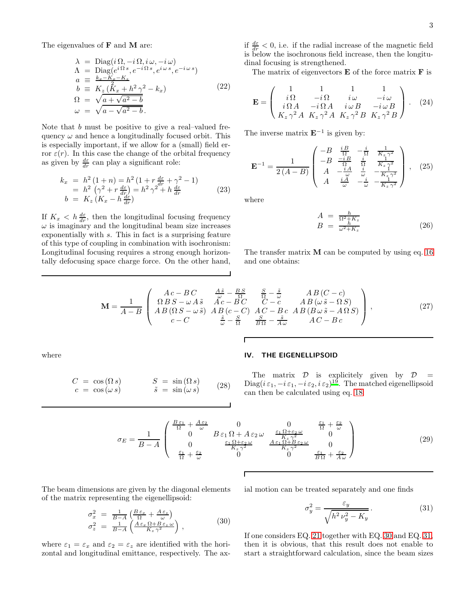The eigenvalues of **F** and **M** are:

<span id="page-2-3"></span>
$$
\lambda = \text{Diag}(i\Omega, -i\Omega, i\omega, -i\omega) \n\Lambda = \text{Diag}(e^{i\Omega s}, e^{-i\Omega s}, e^{i\omega s}, e^{-i\omega s}) \na \equiv \frac{k_x - K_x - K_z}{b} \nb \equiv K_z(\overline{K}_x + h^2 \gamma^2 - k_x) \n\Omega = \sqrt{a + \sqrt{a^2 - b}} \n\omega = \sqrt{a - \sqrt{a^2 - b}}.
$$
\n(22)

Note that b must be positive to give a real–valued frequency  $\omega$  and hence a longitudinally focused orbit. This is especially important, if we allow for a (small) field error  $\varepsilon(r)$ . In this case the change of the orbital frequency as given by  $\frac{d\varepsilon}{dr}$  can play a significant role:

$$
k_x = h^2 (1+n) = h^2 (1+r \frac{d\varepsilon}{dr} + \gamma^2 - 1)
$$
  
=  $h^2 (\gamma^2 + r \frac{d\varepsilon}{dr}) = h^2 \gamma^2 + h \frac{d\varepsilon}{dr}$   

$$
b = K_z (K_x - h \frac{d\varepsilon}{dr})
$$
 (23)

If  $K_x < h \frac{d\varepsilon}{dr}$ , then the longitudinal focusing frequency  $\omega$  is imaginary and the longitudinal beam size increases exponentially with s. This in fact is a surprising feature of this type of coupling in combination with isochronism: Longitudinal focusing requires a strong enough horizontally defocusing space charge force. On the other hand,

if  $\frac{d\varepsilon}{dr} < 0$ , i.e. if the radial increase of the magnetic field is below the isochronous field increase, then the longitudinal focusing is strengthened.

The matrix of eigenvectors  $E$  of the force matrix  $F$  is

$$
\mathbf{E} = \begin{pmatrix} 1 & 1 & 1 & 1 \\ i\Omega & -i\Omega & i\omega & -i\omega \\ i\Omega A & -i\Omega A & i\omega B & -i\omega B \\ K_z \gamma^2 A & K_z \gamma^2 A & K_z \gamma^2 B & K_z \gamma^2 B \end{pmatrix} . \quad (24)
$$

The inverse matrix  $\mathbf{E}^{-1}$  is given by:

$$
\mathbf{E}^{-1} = \frac{1}{2(A-B)} \begin{pmatrix} -B & \frac{iB}{\Omega} & -\frac{i}{\Omega} & \frac{1}{K_z \gamma^2} \\ -B & \frac{-iB}{\Omega} & \frac{i}{\Omega} & \frac{1}{K_z \gamma^2} \\ A & -\frac{iA}{\omega} & \frac{i}{\omega} & -\frac{1}{K_z \gamma^2} \\ A & \frac{iA}{\omega} & -\frac{i}{\omega} & -\frac{1}{K_z \gamma^2} \end{pmatrix}, (25)
$$

where

<span id="page-2-2"></span>
$$
A = \frac{h}{\Omega^2 + K_z}
$$
  
\n
$$
B = \frac{h}{\omega^2 + K_z}
$$
\n(26)

The transfer matrix  $M$  can be computed by using eq. [16](#page-1-0) and one obtains:

$$
\mathbf{M} = \frac{1}{A-B} \begin{pmatrix} Ac - BC & \frac{A\tilde{s}}{\omega} - \frac{BS}{\Omega} & \frac{S}{\Omega} - \frac{\tilde{s}}{\omega} & AB(C-c) \\ \Omega BS - \omega A\tilde{s} & \tilde{A}c - BC & C - c & AB(\omega \tilde{s} - \Omega S) \\ AB(\Omega S - \omega \tilde{s}) & AB(c - C) & AC - Bc & AB(B\omega \tilde{s} - A\Omega S) \\ c - C & \frac{\tilde{s}}{\omega} - \frac{S}{\Omega} & \frac{S}{B\Omega} - \frac{\tilde{s}}{A\omega} & AC - Bc \end{pmatrix},
$$
(27)

Г

where

# IV. THE EIGENELLIPSOID

$$
C = \cos(\Omega s) \qquad S = \sin(\Omega s) \nc = \cos(\omega s) \qquad \tilde{s} = \sin(\omega s) \qquad (28)
$$

# The matrix  $D$  is explicitely given by  $D =$  $Diag(i \varepsilon_1, -i \varepsilon_1, -i \varepsilon_2, i \varepsilon_2)^{19}$  $Diag(i \varepsilon_1, -i \varepsilon_1, -i \varepsilon_2, i \varepsilon_2)^{19}$  $Diag(i \varepsilon_1, -i \varepsilon_1, -i \varepsilon_2, i \varepsilon_2)^{19}$ . The matched eigenellipsoid can then be calculated using eq. [18:](#page-1-1)

$$
\sigma_E = \frac{1}{B-A} \begin{pmatrix} \frac{B\varepsilon_1}{\Omega} + \frac{A\varepsilon_2}{\omega} & 0 & 0 & \frac{\varepsilon_1}{\Omega} + \frac{\varepsilon_2}{\omega} \\ 0 & B\varepsilon_1 \Omega + A\varepsilon_2 \omega & \frac{\varepsilon_1 \Omega + \varepsilon_2 \omega}{K_z \gamma^2} & 0 \\ 0 & \frac{\varepsilon_1 \Omega + \varepsilon_2 \omega}{K_z \gamma^2} & \frac{A\varepsilon_1 \Omega + B\varepsilon_2 \omega}{K_z \gamma^2} & 0 \\ \frac{\varepsilon_1}{\Omega} + \frac{\varepsilon_2}{\omega} & 0 & 0 & \frac{\varepsilon_1}{B\Omega} + \frac{\varepsilon_2}{A\omega} \end{pmatrix}
$$
(29)

The beam dimensions are given by the diagonal elements of the matrix representing the eigenellipsoid:

<span id="page-2-0"></span>
$$
\begin{array}{rcl}\n\sigma_x^2 &=& \frac{1}{B-A} \left( \frac{B \,\varepsilon_x}{\Omega} + \frac{A \,\varepsilon_z}{\omega} \right) \\
\sigma_z^2 &=& \frac{1}{B-A} \left( \frac{A \,\varepsilon_x \,\Omega + B \,\varepsilon_z \,\omega}{K_z \,\gamma^2} \right) \,,\n\end{array} \tag{30}
$$

where  $\varepsilon_1 = \varepsilon_x$  and  $\varepsilon_2 = \varepsilon_z$  are identified with the horizontal and longitudinal emittance, respectively. The axial motion can be treated separately and one finds

<span id="page-2-1"></span>
$$
\sigma_y^2 = \frac{\varepsilon_y}{\sqrt{h^2 \nu_y^2 - K_y}}.\tag{31}
$$

If one considers EQ. [21](#page-1-2) together with EQ. [30](#page-2-0) and EQ. [31,](#page-2-1) then it is obvious, that this result does not enable to start a straightforward calculation, since the beam sizes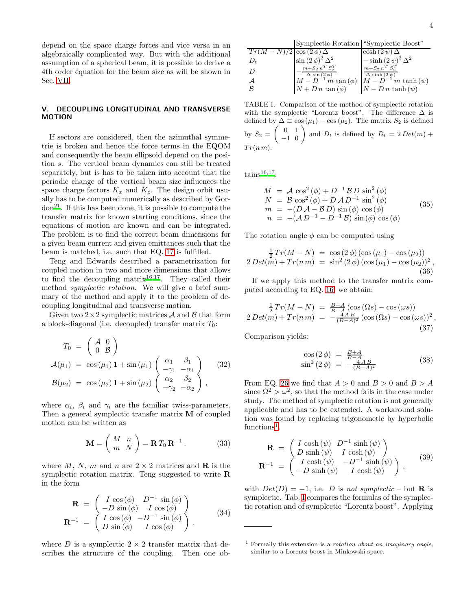depend on the space charge forces and vice versa in an algebraically complicated way. But with the additional assumption of a spherical beam, it is possible to derive a 4th order equation for the beam size as will be shown in Sec. [VII.](#page-5-0)

# V. DECOUPLING LONGITUDINAL AND TRANSVERSE MOTION

If sectors are considered, then the azimuthal symmetrie is broken and hence the force terms in the EQOM and consequently the beam ellipsoid depend on the position s. The vertical beam dynamics can still be treated separately, but is has to be taken into account that the periodic change of the vertical beam size influences the space charge factors  $K_x$  and  $K_z$ . The design orbit usually has to be computed numerically as described by Gordon[21](#page-7-13). If this has been done, it is possible to compute the transfer matrix for known starting conditions, since the equations of motion are known and can be integrated. The problem is to find the correct beam dimensions for a given beam current and given emittances such that the beam is matched, i.e. such that EQ. [17](#page-1-3) is fulfilled.

Teng and Edwards described a parametrization for coupled motion in two and more dimensions that allows to find the decoupling matrix<sup>[16](#page-7-8)[,17](#page-7-9)</sup>. They called their method symplectic rotation. We will give a brief summary of the method and apply it to the problem of decoupling longitudinal and transverse motion.

Given two  $2\times 2$  symplectic matrices A and B that form a block-diagonal (i.e. decoupled) transfer matrix  $T_0$ :

<span id="page-3-2"></span>
$$
T_0 = \begin{pmatrix} \mathcal{A} & 0 \\ 0 & \mathcal{B} \end{pmatrix}
$$
  
\n
$$
\mathcal{A}(\mu_1) = \cos(\mu_1) \mathbf{1} + \sin(\mu_1) \begin{pmatrix} \alpha_1 & \beta_1 \\ -\gamma_1 & -\alpha_1 \\ \alpha_2 & \beta_2 \\ -\gamma_2 & -\alpha_2 \end{pmatrix} (32)
$$
  
\n
$$
\mathcal{B}(\mu_2) = \cos(\mu_2) \mathbf{1} + \sin(\mu_2) \begin{pmatrix} \alpha_2 & \beta_2 \\ \alpha_2 & \beta_2 \\ -\gamma_2 & -\alpha_2 \end{pmatrix},
$$

where  $\alpha_i$ ,  $\beta_i$  and  $\gamma_i$  are the familiar twiss-parameters. Then a general symplectic transfer matrix M of coupled motion can be written as

$$
\mathbf{M} = \begin{pmatrix} M & n \\ m & N \end{pmatrix} = \mathbf{R} T_0 \mathbf{R}^{-1} . \tag{33}
$$

where M, N, m and n are  $2 \times 2$  matrices and **R** is the symplectic rotation matrix. Teng suggested to write R in the form

$$
\mathbf{R} = \begin{pmatrix} I \cos(\phi) & D^{-1} \sin(\phi) \\ -D \sin(\phi) & I \cos(\phi) \end{pmatrix}
$$

$$
\mathbf{R}^{-1} = \begin{pmatrix} I \cos(\phi) & -D^{-1} \sin(\phi) \\ D \sin(\phi) & I \cos(\phi) \end{pmatrix}.
$$
(34)

where D is a symplectic  $2 \times 2$  transfer matrix that describes the structure of the coupling. Then one ob-

Symplectic Rotation "Symplectic Boost"

$$
\begin{array}{l|l|l} \hline Tr(M-N)/2 & \cos{(2\phi)}\Delta & \cosh{(2\psi)}\Delta \\ D_t & \sin{(2\phi)}^2\Delta^2 & -\sinh{(2\psi)}^2\Delta^2 \\ D & -\frac{m+S_2 n^T S_2^T}{\Delta \sin(2\phi)} & \frac{m+S_2 n^T S_2^T}{\Delta \sinh{(2\psi)}} \\ \hline \mathcal{A} & M-D^{-1} \, m \tan{(\phi)} & M-D^{-1} \, m \tanh{(\psi)} \\ \mathcal{B} & N+D \, n \tan{(\phi)} & N-D \, n \tanh{(\psi)} \end{array}
$$

<span id="page-3-1"></span>TABLE I. Comparison of the method of symplectic rotation with the symplectic "Lorentz boost". The difference  $\Delta$  is defined by  $\Delta \equiv \cos(\mu_1) - \cos(\mu_2)$ . The matrix  $S_2$  is defined by  $S_2 = \begin{pmatrix} 0 & 1 \\ -1 & 0 \end{pmatrix}$  and  $D_t$  is defined by  $D_t = 2 Det(m) +$  $Tr(n m)$ .

 $tains^{16,17}$  $tains^{16,17}$  $tains^{16,17}$  $tains^{16,17}$ :

$$
M = A \cos^2(\phi) + D^{-1} B D \sin^2(\phi)
$$
  
\n
$$
N = B \cos^2(\phi) + D A D^{-1} \sin^2(\phi)
$$
  
\n
$$
m = -(D A - B D) \sin(\phi) \cos(\phi)
$$
  
\n
$$
n = -(A D^{-1} - D^{-1} B) \sin(\phi) \cos(\phi)
$$
\n(35)

The rotation angle  $\phi$  can be computed using

$$
\frac{1}{2}Tr(M - N) = \cos(2\phi) (\cos(\mu_1) - \cos(\mu_2))
$$
  
2  $Det(m) + Tr(n m) = \sin^2(2\phi) (\cos(\mu_1) - \cos(\mu_2))^2,$   
(36)

If we apply this method to the transfer matrix computed according to EQ. [16,](#page-1-0) we obtain:

$$
\frac{1}{2} Tr(M - N) = \frac{B + A}{B - A} (\cos (\Omega s) - \cos (\omega s))
$$
  
2  $Det(m) + Tr(n m) = -\frac{4 A B}{(B - A)^2} (\cos (\Omega s) - \cos (\omega s))^2$ , (37)

Comparison yields:

$$
\cos(2 \phi) = \frac{B+A}{B-A} \n\sin^2(2 \phi) = -\frac{4AB}{(B-A)^2}
$$
\n(38)

From EQ. [26](#page-2-2) we find that  $A > 0$  and  $B > 0$  and  $B > A$ since  $\Omega^2 > \omega^2$ , so that the method fails in the case under study. The method of symplectic rotation is not generally applicable and has to be extended. A workaround solution was found by replacing trigonometic by hyperbolic functions<sup>[1](#page-3-0)</sup>.

$$
\mathbf{R} = \begin{pmatrix} I \cosh(\psi) & D^{-1} \sinh(\psi) \\ D \sinh(\psi) & I \cosh(\psi) \end{pmatrix}
$$

$$
\mathbf{R}^{-1} = \begin{pmatrix} I \cosh(\psi) & -D^{-1} \sinh(\psi) \\ -D \sinh(\psi) & I \cosh(\psi) \end{pmatrix},
$$
(39)

with  $Det(D) = -1$ , i.e. D is not symplectic – but **R** is symplectic. Tab. [I](#page-3-1) compares the formulas of the symplectic rotation and of symplectic "Lorentz boost". Applying

<span id="page-3-0"></span><sup>&</sup>lt;sup>1</sup> Formally this extension is a *rotation about an imaginary angle*, similar to a Lorentz boost in Minkowski space.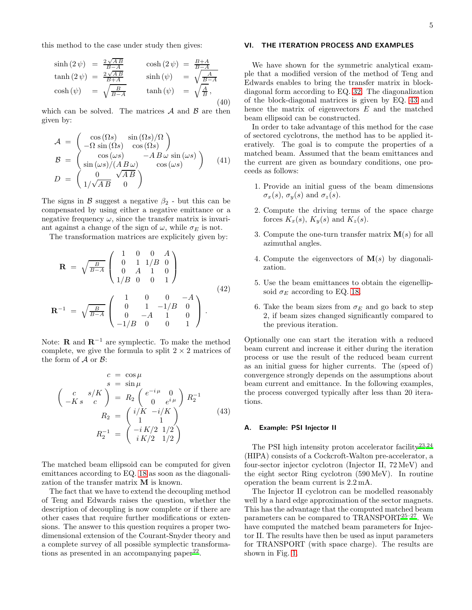this method to the case under study then gives:

$$
\sinh(2 \psi) = \frac{2\sqrt{AB}}{B-A} \qquad \cosh(2 \psi) = \frac{B+A}{B-A} \n\tanh(2 \psi) = \frac{2\sqrt{AB}}{B+A} \qquad \sinh(\psi) = \sqrt{\frac{A}{B-A}} \n\cosh(\psi) = \sqrt{\frac{B}{B-A}} \qquad \tanh(\psi) = \sqrt{\frac{A}{B}},
$$
\n(40)

which can be solved. The matrices  $A$  and  $B$  are then given by:

$$
\mathcal{A} = \begin{pmatrix}\n\cos(\Omega s) & \sin(\Omega s)/\Omega \\
-\Omega \sin(\Omega s) & \cos(\Omega s)\n\end{pmatrix}
$$
\n
$$
\mathcal{B} = \begin{pmatrix}\n\cos(\omega s) & -AB \omega \sin(\omega s) \\
\sin(\omega s)/(AB \omega) & \cos(\omega s)\n\end{pmatrix} (41)
$$
\n
$$
D = \begin{pmatrix}\n0 & \sqrt{AB} \\
1/\sqrt{AB} & 0\n\end{pmatrix}
$$

The signs in  $\beta$  suggest a negative  $\beta_2$  - but this can be compensated by using either a negative emittance or a negative frequency  $\omega$ , since the transfer matrix is invariant against a change of the sign of  $\omega$ , while  $\sigma_E$  is not.

The transformation matrices are explicitely given by:

$$
\mathbf{R} = \sqrt{\frac{B}{B-A}} \begin{pmatrix} 1 & 0 & 0 & A \\ 0 & 1 & 1/B & 0 \\ 0 & A & 1 & 0 \\ 1/B & 0 & 0 & 1 \end{pmatrix}
$$

$$
\mathbf{R}^{-1} = \sqrt{\frac{B}{B-A}} \begin{pmatrix} 1 & 0 & 0 & -A \\ 0 & 1 & -1/B & 0 \\ 0 & -A & 1 & 0 \\ -1/B & 0 & 0 & 1 \end{pmatrix}.
$$
(42)

Note: **R** and  $\mathbf{R}^{-1}$  are symplectic. To make the method complete, we give the formula to split  $2 \times 2$  matrices of the form of  $A$  or  $B$ :

<span id="page-4-0"></span>
$$
c = \cos \mu
$$
  
\n
$$
s = \sin \mu
$$
  
\n
$$
\begin{pmatrix} c & s/K \\ -K s & c \end{pmatrix} = R_2 \begin{pmatrix} e^{-i\mu} & 0 \\ 0 & e^{i\mu} \end{pmatrix} R_2^{-1}
$$
  
\n
$$
R_2 = \begin{pmatrix} i/K & -i/K \\ 1 & 1 \end{pmatrix}
$$
  
\n
$$
R_2^{-1} = \begin{pmatrix} -iK/2 & 1/2 \\ iK/2 & 1/2 \end{pmatrix}
$$
 (43)

The matched beam ellipsoid can be computed for given emittances according to EQ. [18](#page-1-1) as soon as the diagonalization of the transfer matrix M is known.

The fact that we have to extend the decoupling method of Teng and Edwards raises the question, whether the description of decoupling is now complete or if there are other cases that require further modifications or extensions. The answer to this question requires a proper twodimensional extension of the Courant-Snyder theory and a complete survey of all possible symplectic transforma-tions as presented in an accompanying paper<sup>[22](#page-7-14)</sup>.

## VI. THE ITERATION PROCESS AND EXAMPLES

We have shown for the symmetric analytical example that a modified version of the method of Teng and Edwards enables to bring the transfer matrix in blockdiagonal form according to EQ. [32.](#page-3-2) The diagonalization of the block-diagonal matrices is given by EQ. [43](#page-4-0) and hence the matrix of eigenvectors  $E$  and the matched beam ellipsoid can be constructed.

In order to take advantage of this method for the case of sectored cyclotrons, the method has to be applied iteratively. The goal is to compute the properties of a matched beam. Assumed that the beam emittances and the current are given as boundary conditions, one proceeds as follows:

- 1. Provide an initial guess of the beam dimensions  $\sigma_x(s)$ ,  $\sigma_y(s)$  and  $\sigma_z(s)$ .
- 2. Compute the driving terms of the space charge forces  $K_x(s)$ ,  $K_y(s)$  and  $K_z(s)$ .
- 3. Compute the one-turn transfer matrix  $\mathbf{M}(s)$  for all azimuthal angles.
- 4. Compute the eigenvectors of  $\mathbf{M}(s)$  by diagonalization.
- 5. Use the beam emittances to obtain the eigenellipsoid  $\sigma_E$  according to EQ. [18.](#page-1-1)
- 6. Take the beam sizes from  $\sigma_E$  and go back to step 2, if beam sizes changed significantly compared to the previous iteration.

Optionally one can start the iteration with a reduced beam current and increase it either during the iteration process or use the result of the reduced beam current as an initial guess for higher currents. The (speed of) convergence strongly depends on the assumptions about beam current and emittance. In the following examples, the process converged typically after less than 20 iterations.

# A. Example: PSI Injector II

The PSI high intensity proton accelerator facility<sup>[23](#page-7-15)[,24](#page-7-16)</sup> (HIPA) consists of a Cockcroft-Walton pre-accelerator, a four-sector injector cyclotron (Injector II, 72 MeV) and the eight sector Ring cyclotron (590 MeV). In routine operation the beam current is 2.2 mA.

The Injector II cyclotron can be modelled reasonably well by a hard edge approximation of the sector magnets. This has the advantage that the computed matched beam parameters can be compared to TRANSPORT[25](#page-7-17)[–27](#page-7-18). We have computed the matched beam parameters for Injector II. The results have then be used as input parameters for TRANSPORT (with space charge). The results are shown in Fig. [1.](#page-5-1)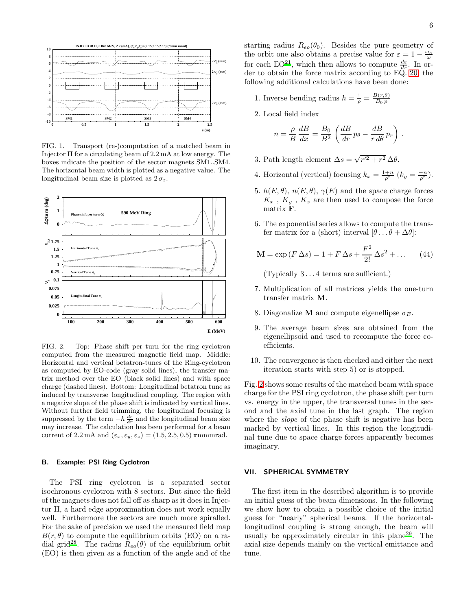

<span id="page-5-1"></span>FIG. 1. Transport (re-)computation of a matched beam in Injector II for a circulating beam of 2.2 mA at low energy. The boxes indicate the position of the sector magnets SM1..SM4. The horizontal beam width is plotted as a negative value. The longitudinal beam size is plotted as  $2\sigma_z$ .



<span id="page-5-2"></span>FIG. 2. Top: Phase shift per turn for the ring cyclotron computed from the measured magnetic field map. Middle: Horizontal and vertical betatron-tunes of the Ring-cyclotron as computed by EO-code (gray solid lines), the transfer matrix method over the EO (black solid lines) and with space charge (dashed lines). Bottom: Longitudinal betatron tune as induced by transverse–longitudinal coupling. The region with a negative slope of the phase shift is indicated by vertical lines. Without further field trimming, the longitudinal focusing is suppressed by the term  $-h\frac{d\varepsilon}{dr}$  and the longitudinal beam size may increase. The calculation has been performed for a beam current of 2.2 mA and  $(\varepsilon_x, \varepsilon_y, \varepsilon_z) = (1.5, 2.5, 0.5) \pi$ mmmrad.

#### B. Example: PSI Ring Cyclotron

The PSI ring cyclotron is a separated sector isochronous cyclotron with 8 sectors. But since the field of the magnets does not fall off as sharp as it does in Injector II, a hard edge approximation does not work equally well. Furthermore the sectors are much more spiralled. For the sake of precision we used the measured field map  $B(r, \theta)$  to compute the equilibrium orbits (EO) on a ra-dial grid<sup>[28](#page-7-19)</sup>. The radius  $R_{eo}(\theta)$  of the equilibrium orbit (EO) is then given as a function of the angle and of the

- 1. Inverse bending radius  $h = \frac{1}{\rho} = \frac{B(r,\theta)}{B_0 p}$  $_{B_0\, p}$
- 2. Local field index

$$
n = \frac{\rho}{B} \frac{dB}{dx} = \frac{B_0}{B^2} \left( \frac{dB}{dr} p_\theta - \frac{dB}{r d\theta} p_r \right).
$$

- 3. Path length element  $\Delta s = \sqrt{r'^2 + r^2} \Delta \theta$ .
- 4. Horizontal (vertical) focusing  $k_x = \frac{1+n}{\rho^2} (k_y = \frac{-n}{\rho^2})$ .
- 5.  $h(E, \theta), n(E, \theta), \gamma(E)$  and the space charge forces  $K_x$ ,  $K_y$ ,  $K_z$  are then used to compose the force matrix F.
- 6. The exponential series allows to compute the transfer matrix for a (short) interval  $[\theta \dots \theta + \Delta \theta]$ :

$$
\mathbf{M} = \exp(F \, \Delta s) = 1 + F \, \Delta s + \frac{F^2}{2!} \, \Delta s^2 + \dots \tag{44}
$$

(Typically 3 . . . 4 terms are sufficient.)

- 7. Multiplication of all matrices yields the one-turn transfer matrix M.
- 8. Diagonalize M and compute eigenellipse  $\sigma_E$ .
- 9. The average beam sizes are obtained from the eigenellipsoid and used to recompute the force coefficients.
- 10. The convergence is then checked and either the next iteration starts with step 5) or is stopped.

Fig. [2](#page-5-2) shows some results of the matched beam with space charge for the PSI ring cyclotron, the phase shift per turn vs. energy in the upper, the transversal tunes in the second and the axial tune in the last graph. The region where the *slope* of the phase shift is negative has been marked by vertical lines. In this region the longitudinal tune due to space charge forces apparently becomes imaginary.

#### <span id="page-5-0"></span>VII. SPHERICAL SYMMETRY

The first item in the described algorithm is to provide an initial guess of the beam dimensions. In the following we show how to obtain a possible choice of the initial guess for "nearly" spherical beams. If the horizontallongitudinal coupling is strong enough, the beam will usually be approximately circular in this plane[29](#page-7-20). The axial size depends mainly on the vertical emittance and tune.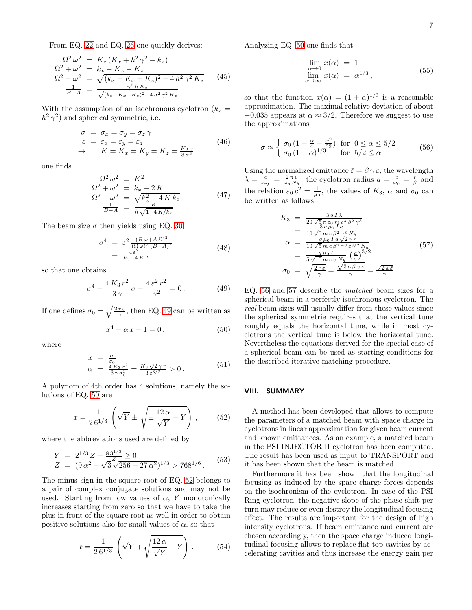From EQ. [22](#page-2-3) and EQ. [26](#page-2-2) one quickly derives:

$$
\Omega^2 \omega^2 = K_z (K_x + h^2 \gamma^2 - k_x) \n\Omega^2 + \omega^2 = k_x - K_x - K_z \n\Omega^2 - \omega^2 = \sqrt{(k_x - K_x + K_z)^2 - 4h^2 \gamma^2 K_z} \n\frac{1}{B-A} = \frac{\gamma^2 h K_z}{\sqrt{(k_x - K_x + K_z)^2 - 4h^2 \gamma^2 K_z}}
$$
\n(45)

With the assumption of an isochronous cyclotron  $(k_x =$  $h^2 \gamma^2$ ) and spherical symmetrie, i.e.

$$
\begin{array}{rcl}\n\sigma & = & \sigma_x = \sigma_y = \sigma_z \,\gamma \\
\varepsilon & = & \varepsilon_x = \varepsilon_y = \varepsilon_z \\
\rightarrow & & K = K_x = K_y = K_z = \frac{K_3 \,\gamma}{3 \,\sigma^3}\n\end{array} \tag{46}
$$

one finds

$$
\Omega^2 \omega^2 = K^2
$$
  
\n
$$
\Omega^2 + \omega^2 = k_x - 2K
$$
  
\n
$$
\Omega^2 - \omega^2 = \sqrt{k_x^2 - 4Kk_x}
$$
  
\n
$$
\frac{1}{B-A} = \frac{K}{h\sqrt{1 - 4K/k_x}}
$$
\n(47)

The beam size  $\sigma$  then yields using EQ. [30:](#page-2-0)

$$
\sigma^4 = \varepsilon^2 \frac{(B\omega + A\Omega)^2}{(\Omega\omega)^2 (B - A)^2}
$$
  
=  $\frac{4\varepsilon^2}{k_x - 4K}$ , (48)

so that one obtains

<span id="page-6-0"></span>
$$
\sigma^4 - \frac{4K_3r^2}{3\gamma}\sigma - \frac{4\,\varepsilon^2\,r^2}{\gamma^2} = 0\,. \tag{49}
$$

If one defines  $\sigma_0 = \sqrt{\frac{2 r \epsilon}{\gamma}}$ , then EQ. [49](#page-6-0) can be written as

<span id="page-6-1"></span>
$$
x^4 - \alpha x - 1 = 0, \t\t(50)
$$

where

$$
x = \frac{\sigma}{\sigma_0}
$$
  
\n
$$
\alpha = \frac{4K_3r^2}{3\gamma\sigma_0^3} = \frac{K_3\sqrt{2\gamma r}}{3\,\varepsilon^{3/2}} > 0.
$$
\n(51)

A polynom of 4th order has 4 solutions, namely the solutions of EQ. [50](#page-6-1) are

<span id="page-6-2"></span>
$$
x = \frac{1}{2\,6^{1/3}} \left( \sqrt{Y} \pm \sqrt{\pm \frac{12\,\alpha}{\sqrt{Y}} - Y} \right),\tag{52}
$$

where the abbreviations used are defined by

$$
Y = 2^{1/3} Z - \frac{83^{1/3}}{Z} \ge 0
$$
  
\n
$$
Z = (9 \alpha^2 + \sqrt{3} \sqrt{256 + 27 \alpha^2})^{1/3} > 768^{1/6}.
$$
 (53)

The minus sign in the square root of EQ. [52](#page-6-2) belongs to a pair of complex conjugate solutions and may not be used. Starting from low values of  $\alpha$ , Y monotonically increases starting from zero so that we have to take the plus in front of the square root as well in order to obtain positive solutions also for small values of  $\alpha$ , so that

$$
x = \frac{1}{2\,6^{1/3}} \left( \sqrt{Y} + \sqrt{\frac{12\,\alpha}{\sqrt{Y}}} - Y \right). \tag{54}
$$

Analyzing EQ. [50](#page-6-1) one finds that

$$
\lim_{\substack{\alpha \to 0 \\ \lim \alpha \to \infty}} x(\alpha) = 1
$$
\n
$$
\lim_{\alpha \to \infty} x(\alpha) = \alpha^{1/3},
$$
\n(55)

so that the function  $x(\alpha) = (1 + \alpha)^{1/3}$  is a reasonable approximation. The maximal relative deviation of about  $-0.035$  appears at  $\alpha \approx 3/2$ . Therefore we suggest to use the approximations

<span id="page-6-3"></span>
$$
\sigma \approx \begin{cases} \sigma_0 \left(1 + \frac{\alpha}{4} - \frac{\alpha^2}{32}\right) & \text{for } 0 \le \alpha \le 5/2 \\ \sigma_0 \left(1 + \alpha\right)^{1/3} & \text{for } 5/2 \le \alpha \end{cases} . \tag{56}
$$

Using the normalized emittance  $\bar{\varepsilon} = \beta \gamma \varepsilon$ , the wavelength  $\lambda = \frac{c}{\nu_{rf}} = \frac{2\pi c}{\omega_o N_h}$ , the cyclotron radius  $a = \frac{c}{\omega_0} = \frac{r}{\beta}$  and the relation  $\varepsilon_0 c^2 = \frac{1}{\mu_0}$ , the values of  $K_3$ ,  $\alpha$  and  $\sigma_0$  can be written as follows:

<span id="page-6-4"></span>
$$
K_3 = \frac{3qI\lambda}{20\sqrt{5}\pi\epsilon_0 m c^3 \beta^2 \gamma^3}
$$
  
\n
$$
= \frac{3qI\lambda}{10\sqrt{5}\pi c \beta^2 \gamma^3 N_h}
$$
  
\n
$$
\alpha = \frac{q\mu_0 I a \sqrt{2\gamma r}}{10\sqrt{5}\pi c \beta^2 \gamma^3 \epsilon^{3/2} N_h}
$$
  
\n
$$
= \frac{q\mu_0 I}{5\sqrt{10}\pi c \gamma N_h} \left(\frac{a}{\bar{\epsilon}}\right)^{3/2}
$$
  
\n
$$
\sigma_0 = \sqrt{\frac{2r\epsilon}{\gamma}} = \frac{\sqrt{2a\beta\gamma\epsilon}}{\gamma} = \frac{\sqrt{2a\bar{\epsilon}}}{\gamma}.
$$
\n(57)

EQ. [56](#page-6-3) and [57](#page-6-4) describe the matched beam sizes for a spherical beam in a perfectly isochronous cyclotron. The real beam sizes will usually differ from these values since the spherical symmetrie requires that the vertical tune roughly equals the horizontal tune, while in most cyclotrons the vertical tune is below the horizontal tune. Nevertheless the equations derived for the special case of a spherical beam can be used as starting conditions for the described iterative matching procedure.

#### VIII. SUMMARY

A method has been developed that allows to compute the parameters of a matched beam with space charge in cyclotrons in linear approximation for given beam current and known emittances. As an example, a matched beam in the PSI INJECTOR II cyclotron has been computed. The result has been used as input to TRANSPORT and it has been shown that the beam is matched.

Furthermore it has been shown that the longitudinal focusing as induced by the space charge forces depends on the isochronism of the cyclotron. In case of the PSI Ring cyclotron, the negative slope of the phase shift per turn may reduce or even destroy the longitudinal focusing effect. The results are important for the design of high intensity cyclotrons. If beam emittance and current are chosen accordingly, then the space charge induced longitudinal focusing allows to replace flat-top cavities by accelerating cavities and thus increase the energy gain per